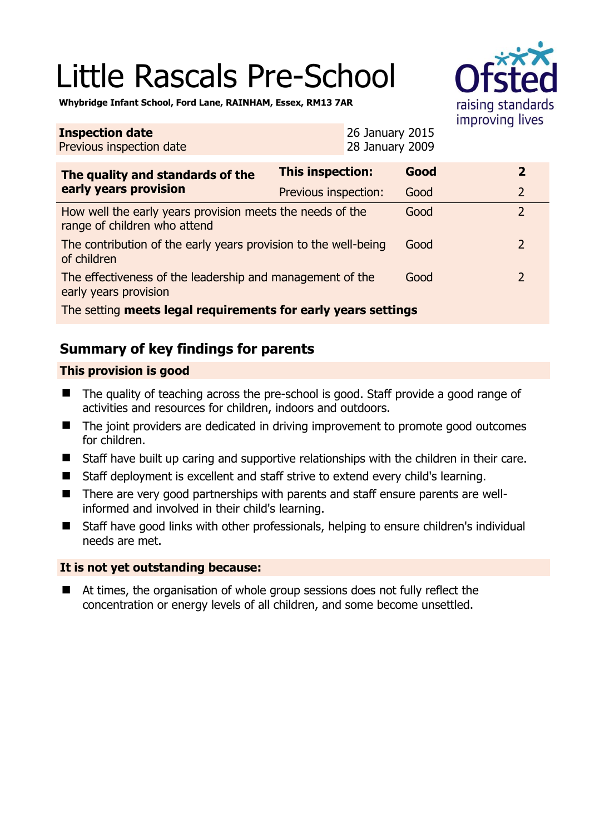# Little Rascals Pre-School



**Whybridge Infant School, Ford Lane, RAINHAM, Essex, RM13 7AR** 

| <b>Inspection date</b><br>Previous inspection date                                        |                         | 26 January 2015<br>28 January 2009 |      |  |                |
|-------------------------------------------------------------------------------------------|-------------------------|------------------------------------|------|--|----------------|
| The quality and standards of the<br>early years provision                                 | <b>This inspection:</b> |                                    | Good |  | $\overline{2}$ |
|                                                                                           | Previous inspection:    |                                    | Good |  | $\overline{2}$ |
| How well the early years provision meets the needs of the<br>range of children who attend |                         |                                    | Good |  | $\overline{2}$ |
| The contribution of the early years provision to the well-being<br>of children            |                         |                                    | Good |  | 2              |
| The effectiveness of the leadership and management of the<br>early years provision        |                         |                                    | Good |  | 2              |
| The setting meets legal requirements for early years settings                             |                         |                                    |      |  |                |

# **Summary of key findings for parents**

## **This provision is good**

- The quality of teaching across the pre-school is good. Staff provide a good range of activities and resources for children, indoors and outdoors.
- The joint providers are dedicated in driving improvement to promote good outcomes for children.
- Staff have built up caring and supportive relationships with the children in their care.
- Staff deployment is excellent and staff strive to extend every child's learning.
- There are very good partnerships with parents and staff ensure parents are wellinformed and involved in their child's learning.
- Staff have good links with other professionals, helping to ensure children's individual needs are met.

## **It is not yet outstanding because:**

 At times, the organisation of whole group sessions does not fully reflect the concentration or energy levels of all children, and some become unsettled.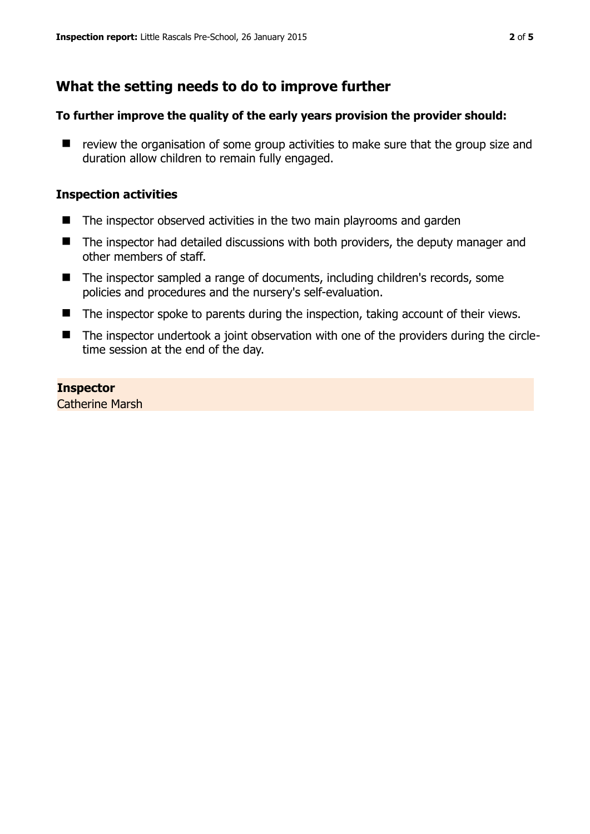# **What the setting needs to do to improve further**

#### **To further improve the quality of the early years provision the provider should:**

 $\blacksquare$  review the organisation of some group activities to make sure that the group size and duration allow children to remain fully engaged.

#### **Inspection activities**

- The inspector observed activities in the two main playrooms and garden
- The inspector had detailed discussions with both providers, the deputy manager and other members of staff.
- The inspector sampled a range of documents, including children's records, some policies and procedures and the nursery's self-evaluation.
- The inspector spoke to parents during the inspection, taking account of their views.
- The inspector undertook a joint observation with one of the providers during the circletime session at the end of the day.

#### **Inspector**

Catherine Marsh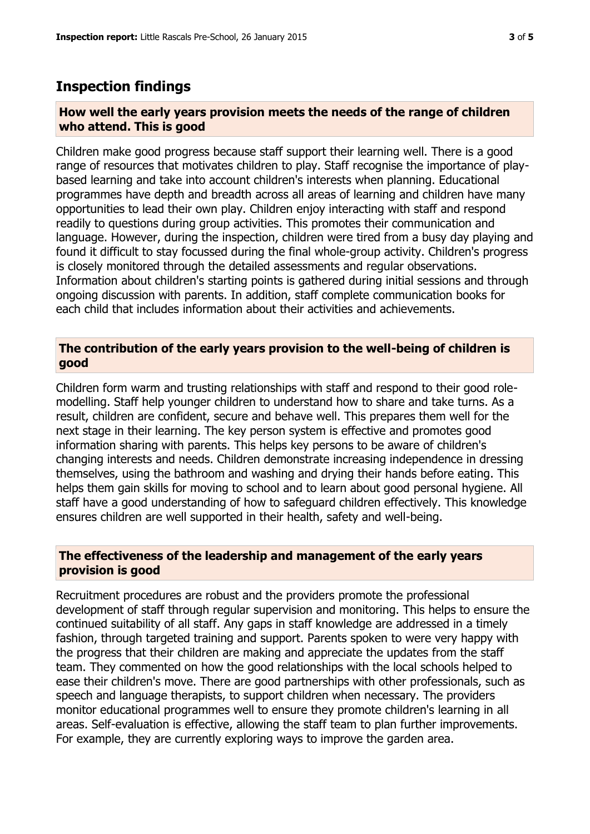## **Inspection findings**

#### **How well the early years provision meets the needs of the range of children who attend. This is good**

Children make good progress because staff support their learning well. There is a good range of resources that motivates children to play. Staff recognise the importance of playbased learning and take into account children's interests when planning. Educational programmes have depth and breadth across all areas of learning and children have many opportunities to lead their own play. Children enjoy interacting with staff and respond readily to questions during group activities. This promotes their communication and language. However, during the inspection, children were tired from a busy day playing and found it difficult to stay focussed during the final whole-group activity. Children's progress is closely monitored through the detailed assessments and regular observations. Information about children's starting points is gathered during initial sessions and through ongoing discussion with parents. In addition, staff complete communication books for each child that includes information about their activities and achievements.

## **The contribution of the early years provision to the well-being of children is good**

Children form warm and trusting relationships with staff and respond to their good rolemodelling. Staff help younger children to understand how to share and take turns. As a result, children are confident, secure and behave well. This prepares them well for the next stage in their learning. The key person system is effective and promotes good information sharing with parents. This helps key persons to be aware of children's changing interests and needs. Children demonstrate increasing independence in dressing themselves, using the bathroom and washing and drying their hands before eating. This helps them gain skills for moving to school and to learn about good personal hygiene. All staff have a good understanding of how to safeguard children effectively. This knowledge ensures children are well supported in their health, safety and well-being.

#### **The effectiveness of the leadership and management of the early years provision is good**

Recruitment procedures are robust and the providers promote the professional development of staff through regular supervision and monitoring. This helps to ensure the continued suitability of all staff. Any gaps in staff knowledge are addressed in a timely fashion, through targeted training and support. Parents spoken to were very happy with the progress that their children are making and appreciate the updates from the staff team. They commented on how the good relationships with the local schools helped to ease their children's move. There are good partnerships with other professionals, such as speech and language therapists, to support children when necessary. The providers monitor educational programmes well to ensure they promote children's learning in all areas. Self-evaluation is effective, allowing the staff team to plan further improvements. For example, they are currently exploring ways to improve the garden area.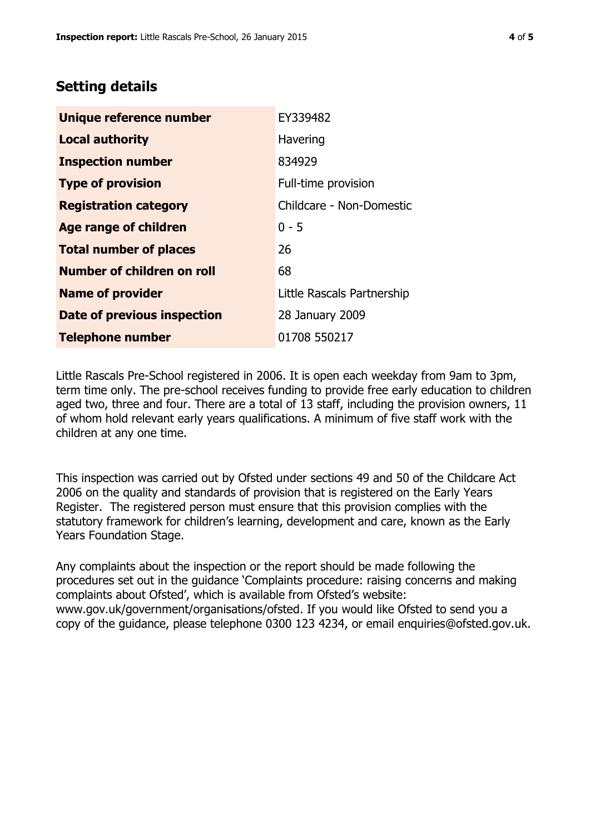# **Setting details**

| Unique reference number       | EY339482                   |  |  |
|-------------------------------|----------------------------|--|--|
| <b>Local authority</b>        | Havering                   |  |  |
| <b>Inspection number</b>      | 834929                     |  |  |
| <b>Type of provision</b>      | Full-time provision        |  |  |
| <b>Registration category</b>  | Childcare - Non-Domestic   |  |  |
| Age range of children         | $0 - 5$                    |  |  |
| <b>Total number of places</b> | 26                         |  |  |
| Number of children on roll    | 68                         |  |  |
| <b>Name of provider</b>       | Little Rascals Partnership |  |  |
| Date of previous inspection   | 28 January 2009            |  |  |
| <b>Telephone number</b>       | 01708 550217               |  |  |

Little Rascals Pre-School registered in 2006. It is open each weekday from 9am to 3pm, term time only. The pre-school receives funding to provide free early education to children aged two, three and four. There are a total of 13 staff, including the provision owners, 11 of whom hold relevant early years qualifications. A minimum of five staff work with the children at any one time.

This inspection was carried out by Ofsted under sections 49 and 50 of the Childcare Act 2006 on the quality and standards of provision that is registered on the Early Years Register. The registered person must ensure that this provision complies with the statutory framework for children's learning, development and care, known as the Early Years Foundation Stage.

Any complaints about the inspection or the report should be made following the procedures set out in the guidance 'Complaints procedure: raising concerns and making complaints about Ofsted', which is available from Ofsted's website: www.gov.uk/government/organisations/ofsted. If you would like Ofsted to send you a copy of the guidance, please telephone 0300 123 4234, or email enquiries@ofsted.gov.uk.